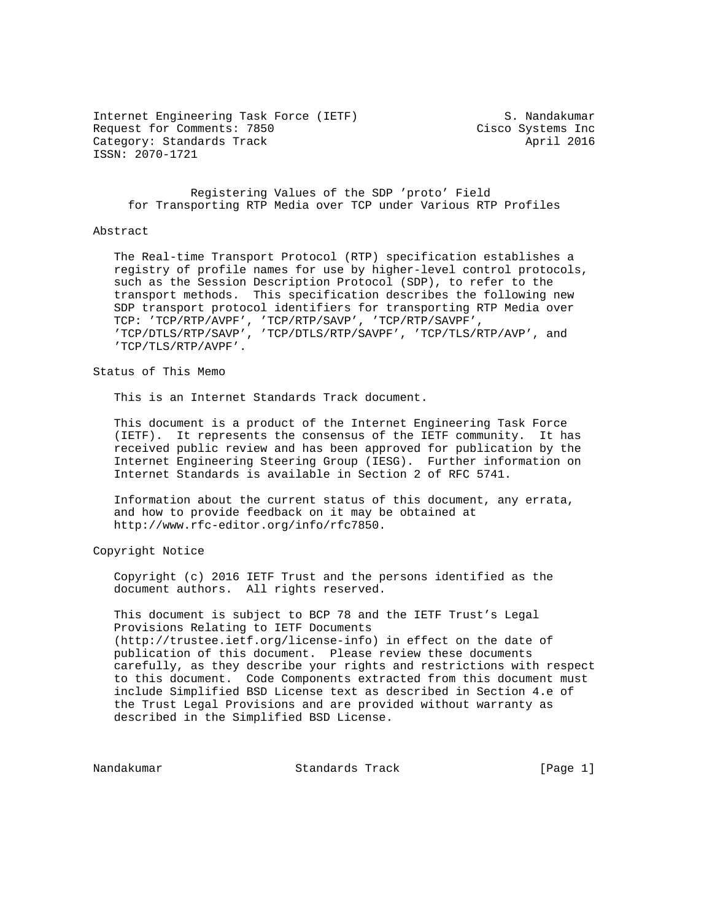Internet Engineering Task Force (IETF) S. Nandakumar Request for Comments: 7850 Cisco Systems Inc Category: Standards Track April 2016 ISSN: 2070-1721

 Registering Values of the SDP 'proto' Field for Transporting RTP Media over TCP under Various RTP Profiles

## Abstract

 The Real-time Transport Protocol (RTP) specification establishes a registry of profile names for use by higher-level control protocols, such as the Session Description Protocol (SDP), to refer to the transport methods. This specification describes the following new SDP transport protocol identifiers for transporting RTP Media over TCP: 'TCP/RTP/AVPF', 'TCP/RTP/SAVP', 'TCP/RTP/SAVPF', 'TCP/DTLS/RTP/SAVP', 'TCP/DTLS/RTP/SAVPF', 'TCP/TLS/RTP/AVP', and 'TCP/TLS/RTP/AVPF'.

Status of This Memo

This is an Internet Standards Track document.

 This document is a product of the Internet Engineering Task Force (IETF). It represents the consensus of the IETF community. It has received public review and has been approved for publication by the Internet Engineering Steering Group (IESG). Further information on Internet Standards is available in Section 2 of RFC 5741.

 Information about the current status of this document, any errata, and how to provide feedback on it may be obtained at http://www.rfc-editor.org/info/rfc7850.

Copyright Notice

 Copyright (c) 2016 IETF Trust and the persons identified as the document authors. All rights reserved.

 This document is subject to BCP 78 and the IETF Trust's Legal Provisions Relating to IETF Documents (http://trustee.ietf.org/license-info) in effect on the date of publication of this document. Please review these documents carefully, as they describe your rights and restrictions with respect to this document. Code Components extracted from this document must include Simplified BSD License text as described in Section 4.e of the Trust Legal Provisions and are provided without warranty as described in the Simplified BSD License.

Nandakumar Standards Track [Page 1]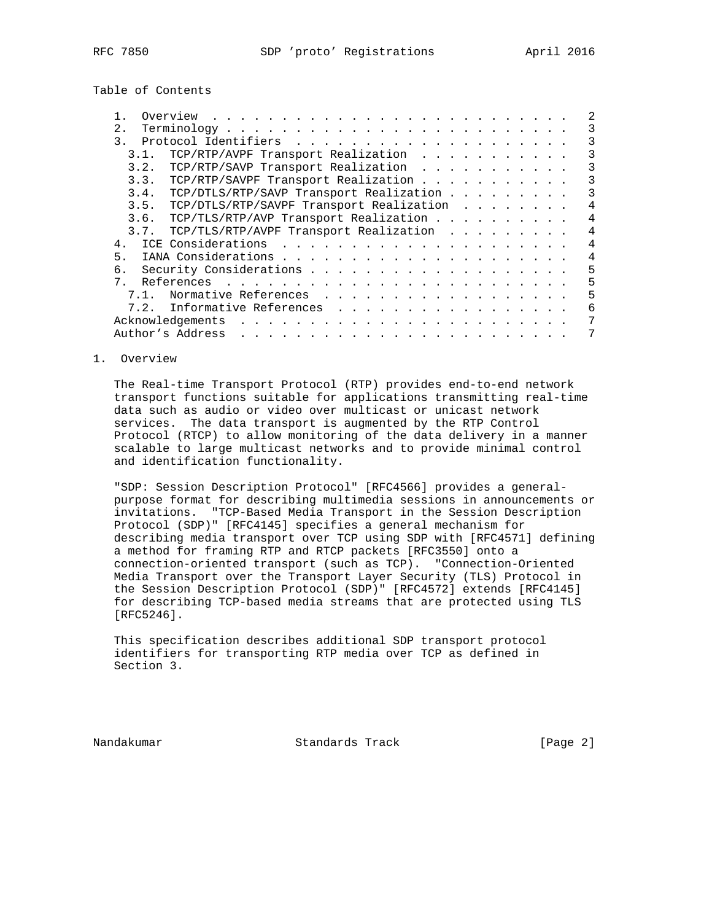Table of Contents

| 2.               |                                                                                                                                                                                                                                                    |  |  |  |  | 3 |
|------------------|----------------------------------------------------------------------------------------------------------------------------------------------------------------------------------------------------------------------------------------------------|--|--|--|--|---|
| $\overline{3}$ . |                                                                                                                                                                                                                                                    |  |  |  |  | 3 |
| 3.1.             | TCP/RTP/AVPF Transport Realization                                                                                                                                                                                                                 |  |  |  |  | 3 |
| 3.2.             | TCP/RTP/SAVP Transport Realization                                                                                                                                                                                                                 |  |  |  |  | 3 |
| 3.3.             | TCP/RTP/SAVPF Transport Realization                                                                                                                                                                                                                |  |  |  |  | 3 |
| 3.4.             | TCP/DTLS/RTP/SAVP Transport Realization                                                                                                                                                                                                            |  |  |  |  | 3 |
| 3.5.             | TCP/DTLS/RTP/SAVPF Transport Realization                                                                                                                                                                                                           |  |  |  |  | 4 |
| 3.6.             | TCP/TLS/RTP/AVP Transport Realization                                                                                                                                                                                                              |  |  |  |  |   |
| 3.7.             | TCP/TLS/RTP/AVPF Transport Realization                                                                                                                                                                                                             |  |  |  |  | 4 |
| 4.               |                                                                                                                                                                                                                                                    |  |  |  |  | 4 |
| 5 <sub>1</sub>   |                                                                                                                                                                                                                                                    |  |  |  |  | 4 |
| б.               |                                                                                                                                                                                                                                                    |  |  |  |  | 5 |
| $7_{\circ}$      |                                                                                                                                                                                                                                                    |  |  |  |  | 5 |
| 7.1.             | Normative References                                                                                                                                                                                                                               |  |  |  |  | 5 |
| 7.2.             | Informative References                                                                                                                                                                                                                             |  |  |  |  | 6 |
|                  | Acknowledgements<br>the contract of the contract of the contract of the contract of the contract of the contract of the contract of the contract of the contract of the contract of the contract of the contract of the contract of the contract o |  |  |  |  | 7 |
|                  | Author's Address<br>and a complete that the complete the complete theory of the complete theory of the complete theory of the complete theory of the complete theory of the complete theory of the complete theory of the complete theory of the c |  |  |  |  |   |

## 1. Overview

 The Real-time Transport Protocol (RTP) provides end-to-end network transport functions suitable for applications transmitting real-time data such as audio or video over multicast or unicast network services. The data transport is augmented by the RTP Control Protocol (RTCP) to allow monitoring of the data delivery in a manner scalable to large multicast networks and to provide minimal control and identification functionality.

 "SDP: Session Description Protocol" [RFC4566] provides a general purpose format for describing multimedia sessions in announcements or invitations. "TCP-Based Media Transport in the Session Description Protocol (SDP)" [RFC4145] specifies a general mechanism for describing media transport over TCP using SDP with [RFC4571] defining a method for framing RTP and RTCP packets [RFC3550] onto a connection-oriented transport (such as TCP). "Connection-Oriented Media Transport over the Transport Layer Security (TLS) Protocol in the Session Description Protocol (SDP)" [RFC4572] extends [RFC4145] for describing TCP-based media streams that are protected using TLS [RFC5246].

 This specification describes additional SDP transport protocol identifiers for transporting RTP media over TCP as defined in Section 3.

Nandakumar Standards Track [Page 2]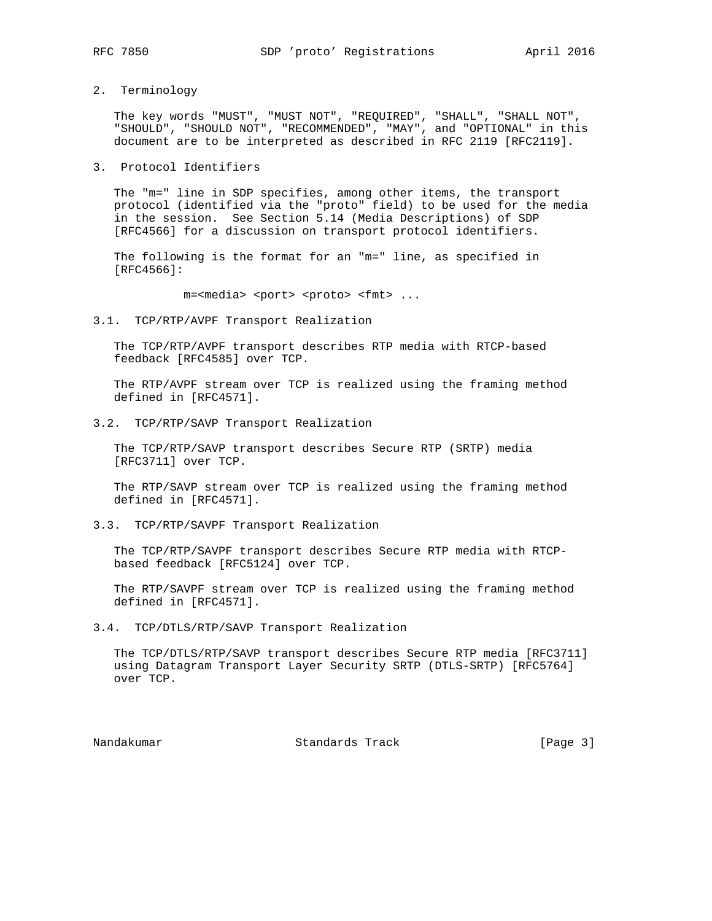2. Terminology

 The key words "MUST", "MUST NOT", "REQUIRED", "SHALL", "SHALL NOT", "SHOULD", "SHOULD NOT", "RECOMMENDED", "MAY", and "OPTIONAL" in this document are to be interpreted as described in RFC 2119 [RFC2119].

3. Protocol Identifiers

 The "m=" line in SDP specifies, among other items, the transport protocol (identified via the "proto" field) to be used for the media in the session. See Section 5.14 (Media Descriptions) of SDP [RFC4566] for a discussion on transport protocol identifiers.

 The following is the format for an "m=" line, as specified in [RFC4566]:

m=<media> <port> <proto> <fmt> ...

3.1. TCP/RTP/AVPF Transport Realization

 The TCP/RTP/AVPF transport describes RTP media with RTCP-based feedback [RFC4585] over TCP.

 The RTP/AVPF stream over TCP is realized using the framing method defined in [RFC4571].

3.2. TCP/RTP/SAVP Transport Realization

 The TCP/RTP/SAVP transport describes Secure RTP (SRTP) media [RFC3711] over TCP.

 The RTP/SAVP stream over TCP is realized using the framing method defined in [RFC4571].

3.3. TCP/RTP/SAVPF Transport Realization

 The TCP/RTP/SAVPF transport describes Secure RTP media with RTCP based feedback [RFC5124] over TCP.

 The RTP/SAVPF stream over TCP is realized using the framing method defined in [RFC4571].

3.4. TCP/DTLS/RTP/SAVP Transport Realization

 The TCP/DTLS/RTP/SAVP transport describes Secure RTP media [RFC3711] using Datagram Transport Layer Security SRTP (DTLS-SRTP) [RFC5764] over TCP.

Nandakumar Standards Track [Page 3]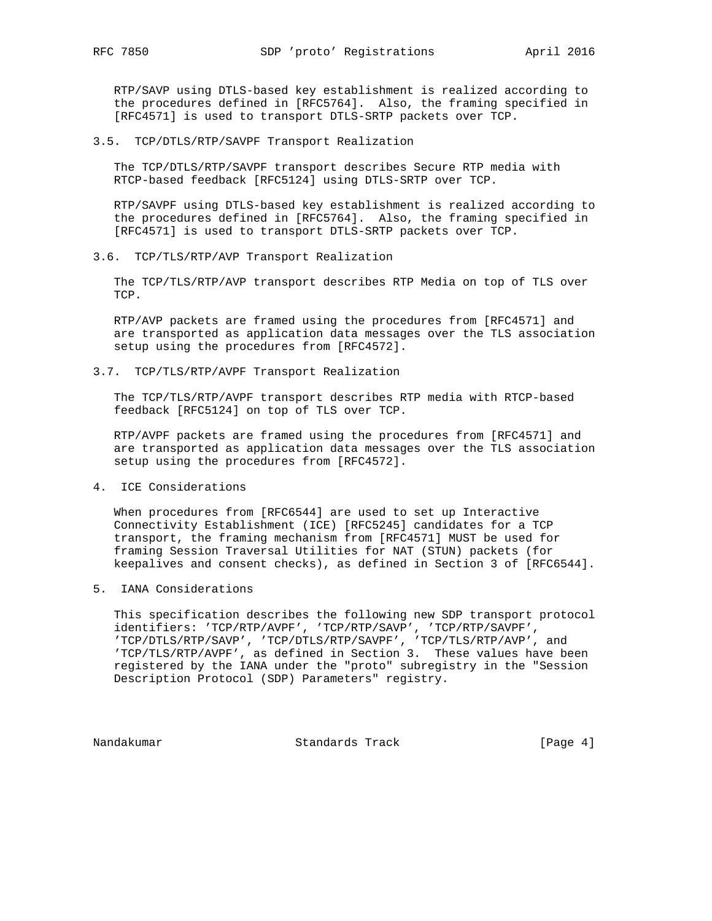RTP/SAVP using DTLS-based key establishment is realized according to the procedures defined in [RFC5764]. Also, the framing specified in [RFC4571] is used to transport DTLS-SRTP packets over TCP.

3.5. TCP/DTLS/RTP/SAVPF Transport Realization

 The TCP/DTLS/RTP/SAVPF transport describes Secure RTP media with RTCP-based feedback [RFC5124] using DTLS-SRTP over TCP.

 RTP/SAVPF using DTLS-based key establishment is realized according to the procedures defined in [RFC5764]. Also, the framing specified in [RFC4571] is used to transport DTLS-SRTP packets over TCP.

3.6. TCP/TLS/RTP/AVP Transport Realization

 The TCP/TLS/RTP/AVP transport describes RTP Media on top of TLS over TCP.

 RTP/AVP packets are framed using the procedures from [RFC4571] and are transported as application data messages over the TLS association setup using the procedures from [RFC4572].

3.7. TCP/TLS/RTP/AVPF Transport Realization

 The TCP/TLS/RTP/AVPF transport describes RTP media with RTCP-based feedback [RFC5124] on top of TLS over TCP.

 RTP/AVPF packets are framed using the procedures from [RFC4571] and are transported as application data messages over the TLS association setup using the procedures from [RFC4572].

4. ICE Considerations

 When procedures from [RFC6544] are used to set up Interactive Connectivity Establishment (ICE) [RFC5245] candidates for a TCP transport, the framing mechanism from [RFC4571] MUST be used for framing Session Traversal Utilities for NAT (STUN) packets (for keepalives and consent checks), as defined in Section 3 of [RFC6544].

## 5. IANA Considerations

 This specification describes the following new SDP transport protocol identifiers: 'TCP/RTP/AVPF', 'TCP/RTP/SAVP', 'TCP/RTP/SAVPF', 'TCP/DTLS/RTP/SAVP', 'TCP/DTLS/RTP/SAVPF', 'TCP/TLS/RTP/AVP', and 'TCP/TLS/RTP/AVPF', as defined in Section 3. These values have been registered by the IANA under the "proto" subregistry in the "Session Description Protocol (SDP) Parameters" registry.

Nandakumar Standards Track [Page 4]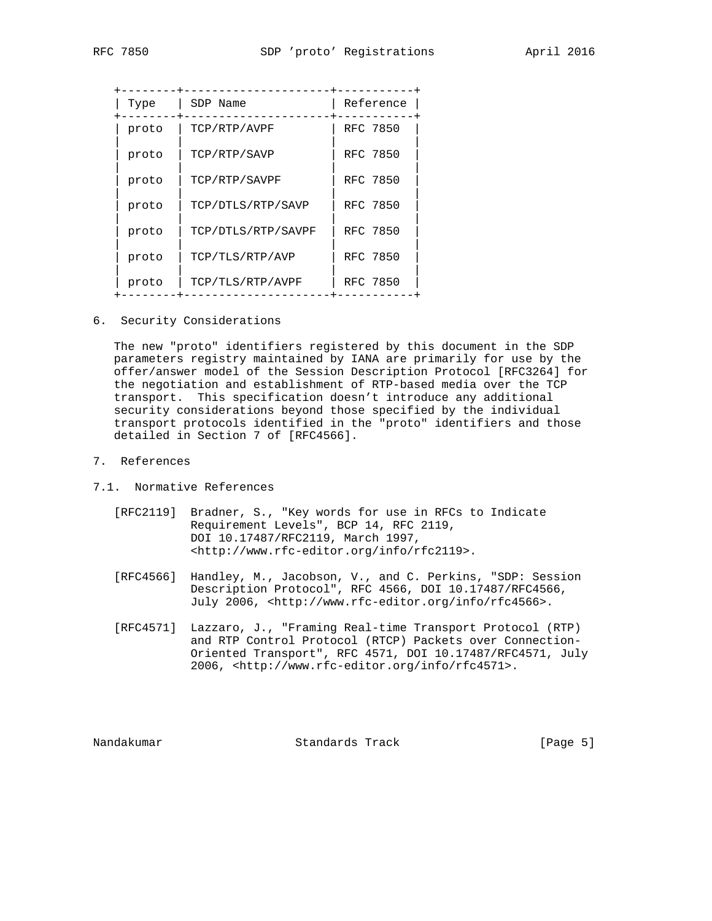| Type  | SDP Name           | Reference |
|-------|--------------------|-----------|
| proto | TCP/RTP/AVPF       | RFC 7850  |
| proto | TCP/RTP/SAVP       | RFC 7850  |
| proto | TCP/RTP/SAVPF      | RFC 7850  |
| proto | TCP/DTLS/RTP/SAVP  | RFC 7850  |
| proto | TCP/DTLS/RTP/SAVPF | RFC 7850  |
| proto | TCP/TLS/RTP/AVP    | RFC 7850  |
| proto | TCP/TLS/RTP/AVPF   | RFC 7850  |

6. Security Considerations

 The new "proto" identifiers registered by this document in the SDP parameters registry maintained by IANA are primarily for use by the offer/answer model of the Session Description Protocol [RFC3264] for the negotiation and establishment of RTP-based media over the TCP transport. This specification doesn't introduce any additional security considerations beyond those specified by the individual transport protocols identified in the "proto" identifiers and those detailed in Section 7 of [RFC4566].

- 7. References
- 7.1. Normative References
	- [RFC2119] Bradner, S., "Key words for use in RFCs to Indicate Requirement Levels", BCP 14, RFC 2119, DOI 10.17487/RFC2119, March 1997, <http://www.rfc-editor.org/info/rfc2119>.
	- [RFC4566] Handley, M., Jacobson, V., and C. Perkins, "SDP: Session Description Protocol", RFC 4566, DOI 10.17487/RFC4566, July 2006, <http://www.rfc-editor.org/info/rfc4566>.
	- [RFC4571] Lazzaro, J., "Framing Real-time Transport Protocol (RTP) and RTP Control Protocol (RTCP) Packets over Connection- Oriented Transport", RFC 4571, DOI 10.17487/RFC4571, July 2006, <http://www.rfc-editor.org/info/rfc4571>.

Nandakumar Standards Track [Page 5]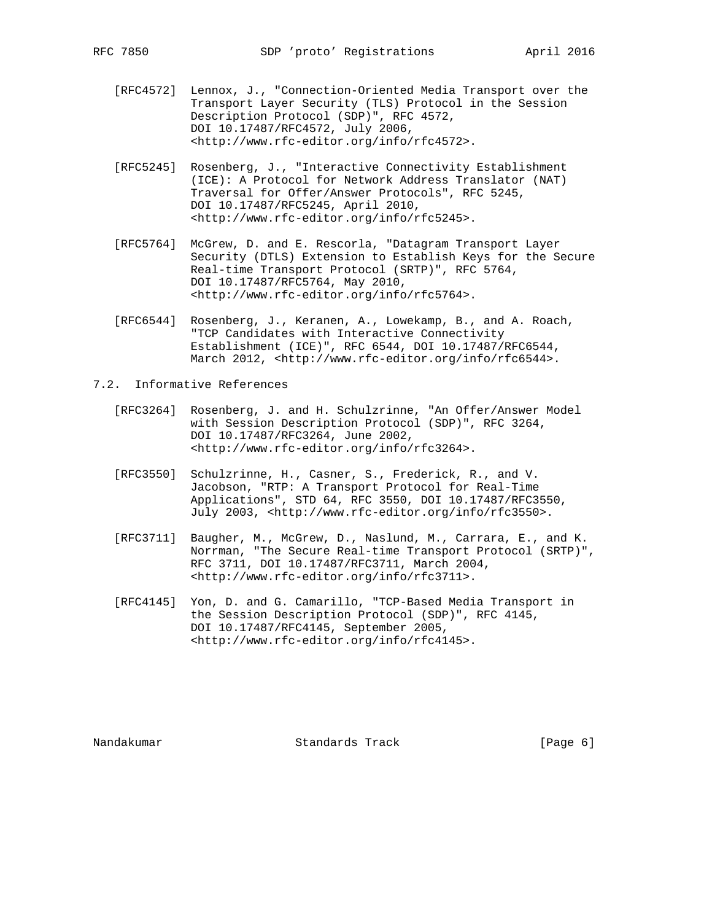- [RFC4572] Lennox, J., "Connection-Oriented Media Transport over the Transport Layer Security (TLS) Protocol in the Session Description Protocol (SDP)", RFC 4572, DOI 10.17487/RFC4572, July 2006, <http://www.rfc-editor.org/info/rfc4572>.
- [RFC5245] Rosenberg, J., "Interactive Connectivity Establishment (ICE): A Protocol for Network Address Translator (NAT) Traversal for Offer/Answer Protocols", RFC 5245, DOI 10.17487/RFC5245, April 2010, <http://www.rfc-editor.org/info/rfc5245>.
- [RFC5764] McGrew, D. and E. Rescorla, "Datagram Transport Layer Security (DTLS) Extension to Establish Keys for the Secure Real-time Transport Protocol (SRTP)", RFC 5764, DOI 10.17487/RFC5764, May 2010, <http://www.rfc-editor.org/info/rfc5764>.
- [RFC6544] Rosenberg, J., Keranen, A., Lowekamp, B., and A. Roach, "TCP Candidates with Interactive Connectivity Establishment (ICE)", RFC 6544, DOI 10.17487/RFC6544, March 2012, <http://www.rfc-editor.org/info/rfc6544>.

7.2. Informative References

- [RFC3264] Rosenberg, J. and H. Schulzrinne, "An Offer/Answer Model with Session Description Protocol (SDP)", RFC 3264, DOI 10.17487/RFC3264, June 2002, <http://www.rfc-editor.org/info/rfc3264>.
- [RFC3550] Schulzrinne, H., Casner, S., Frederick, R., and V. Jacobson, "RTP: A Transport Protocol for Real-Time Applications", STD 64, RFC 3550, DOI 10.17487/RFC3550, July 2003, <http://www.rfc-editor.org/info/rfc3550>.
- [RFC3711] Baugher, M., McGrew, D., Naslund, M., Carrara, E., and K. Norrman, "The Secure Real-time Transport Protocol (SRTP)", RFC 3711, DOI 10.17487/RFC3711, March 2004, <http://www.rfc-editor.org/info/rfc3711>.
- [RFC4145] Yon, D. and G. Camarillo, "TCP-Based Media Transport in the Session Description Protocol (SDP)", RFC 4145, DOI 10.17487/RFC4145, September 2005, <http://www.rfc-editor.org/info/rfc4145>.

Nandakumar Standards Track [Page 6]